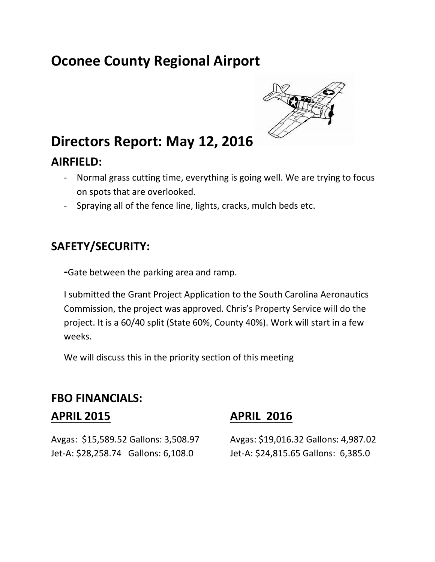# **Oconee County Regional Airport**



## **Directors Report: May 12, 2016**

#### **AIRFIELD:**

- Normal grass cutting time, everything is going well. We are trying to focus on spots that are overlooked.
- Spraying all of the fence line, lights, cracks, mulch beds etc.

#### **SAFETY/SECURITY:**

**-**Gate between the parking area and ramp.

I submitted the Grant Project Application to the South Carolina Aeronautics Commission, the project was approved. Chris's Property Service will do the project. It is a 60/40 split (State 60%, County 40%). Work will start in a few weeks.

We will discuss this in the priority section of this meeting

#### **FBO FINANCIALS:**

Avgas: \$15,589.52 Gallons: 3,508.97 Avgas: \$19,016.32 Gallons: 4,987.02 Jet-A: \$28,258.74 Gallons: 6,108.0 Jet-A: \$24,815.65 Gallons: 6,385.0

#### **APRIL 2015 APRIL 2016**